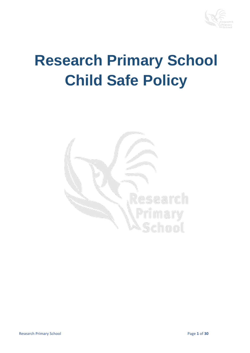

# **Research Primary School Child Safe Policy**

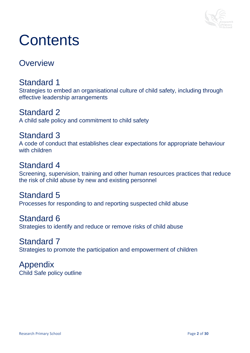

# **Contents**

# **Overview**

Standard 1 Strategies to embed an organisational culture of child safety, including through effective leadership arrangements

Standard 2 A child safe policy and commitment to child safety

Standard 3 A code of conduct that establishes clear expectations for appropriate behaviour with children

Standard 4 Screening, supervision, training and other human resources practices that reduce the risk of child abuse by new and existing personnel

Standard 5 Processes for responding to and reporting suspected child abuse

Standard 6 Strategies to identify and reduce or remove risks of child abuse

Standard 7

Strategies to promote the participation and empowerment of children

Appendix Child Safe policy outline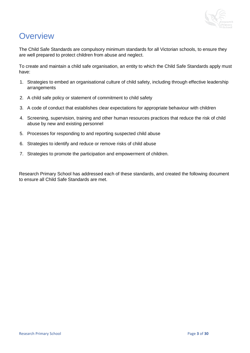

# **Overview**

The Child Safe Standards are compulsory minimum standards for all Victorian schools, to ensure they are well prepared to protect children from abuse and neglect.

To create and maintain a child safe organisation, an entity to which the Child Safe Standards apply must have:

- 1. Strategies to embed an organisational culture of child safety, including through effective leadership arrangements
- 2. A child safe policy or statement of commitment to child safety
- 3. A code of conduct that establishes clear expectations for appropriate behaviour with children
- 4. Screening, supervision, training and other human resources practices that reduce the risk of child abuse by new and existing personnel
- 5. Processes for responding to and reporting suspected child abuse
- 6. Strategies to identify and reduce or remove risks of child abuse
- 7. Strategies to promote the participation and empowerment of children.

Research Primary School has addressed each of these standards, and created the following document to ensure all Child Safe Standards are met.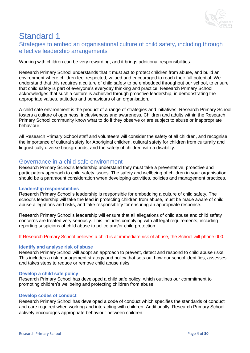

# Standard 1

### Strategies to embed an organisational culture of child safety, including through effective leadership arrangements

Working with children can be very rewarding, and it brings additional responsibilities.

Research Primary School understands that it must act to protect children from abuse, and build an environment where children feel respected, valued and encouraged to reach their full potential. We understand that this requires a culture of child safety to be embedded throughout our school, to ensure that child safety is part of everyone's everyday thinking and practice. Research Primary School acknowledges that such a culture is achieved through proactive leadership, in demonstrating the appropriate values, attitudes and behaviours of an organisation.

A child safe environment is the product of a range of strategies and initiatives. Research Primary School fosters a culture of openness, inclusiveness and awareness. Children and adults within the Research Primary School community know what to do if they observe or are subject to abuse or inappropriate behaviour.

All Research Primary School staff and volunteers will consider the safety of all children, and recognise the importance of cultural safety for Aboriginal children, cultural safety for children from culturally and linguistically diverse backgrounds, and the safety of children with a disability.

#### Governance in a child safe environment

Research Primary School's leadership understand they must take a preventative, proactive and participatory approach to child safety issues. The safety and wellbeing of children in your organisation should be a paramount consideration when developing activities, policies and management practices.

#### **Leadership responsibilities**

Research Primary School's leadership is responsible for embedding a culture of child safety. The school's leadership will take the lead in protecting children from abuse, must be made aware of child abuse allegations and risks, and take responsibility for ensuring an appropriate response.

Research Primary School's leadership will ensure that all allegations of child abuse and child safety concerns are treated very seriously. This includes complying with all legal requirements, including reporting suspicions of child abuse to police and/or child protection.

If Research Primary School believes a child is at immediate risk of abuse, the School will phone 000.

#### **Identify and analyse risk of abuse**

Research Primary School will adopt an approach to prevent, detect and respond to child abuse risks. This includes a risk management strategy and policy that sets out how our school identifies, assesses, and takes steps to reduce or remove child abuse risks.

#### **Develop a child safe policy**

Research Primary School has developed a child safe policy, which outlines our commitment to promoting children's wellbeing and protecting children from abuse.

#### **Develop codes of conduct**

Research Primary School has developed a code of conduct which specifies the standards of conduct and care required when working and interacting with children. Additionally, Research Primary School actively encourages appropriate behaviour between children.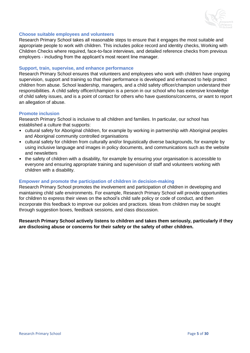

#### **Choose suitable employees and volunteers**

Research Primary School takes all reasonable steps to ensure that it engages the most suitable and appropriate people to work with children. This includes police record and identity checks, Working with Children Checks where required, face-to-face interviews, and detailed reference checks from previous employers - including from the applicant's most recent line manager.

#### **Support, train, supervise, and enhance performance**

Research Primary School ensures that volunteers and employees who work with children have ongoing supervision, support and training so that their performance is developed and enhanced to help protect children from abuse. School leadership, managers, and a child safety officer/champion understand their responsibilities. A child safety officer/champion is a person in our school who has extensive knowledge of child safety issues, and is a point of contact for others who have questions/concerns, or want to report an allegation of abuse.

#### **Promote inclusion**

Research Primary School is inclusive to all children and families. In particular, our school has established a culture that supports:

- cultural safety for Aboriginal children, for example by working in partnership with Aboriginal peoples and Aboriginal community controlled organisations
- cultural safety for children from culturally and/or linguistically diverse backgrounds, for example by using inclusive language and images in policy documents, and communications such as the website and newsletters
- the safety of children with a disability, for example by ensuring your organisation is accessible to everyone and ensuring appropriate training and supervision of staff and volunteers working with children with a disability.

#### **Empower and promote the participation of children in decision-making**

Research Primary School promotes the involvement and participation of children in developing and maintaining child safe environments. For example, Research Primary School will provide opportunities for children to express their views on the school's child safe policy or code of conduct, and then incorporate this feedback to improve our policies and practices. Ideas from children may be sought through suggestion boxes, feedback sessions, and class discussion.

#### **Research Primary School actively listens to children and takes them seriously, particularly if they are disclosing abuse or concerns for their safety or the safety of other children.**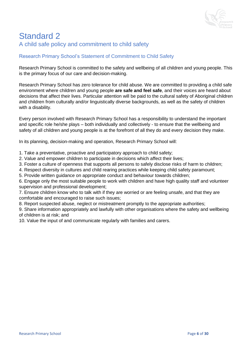

# Standard 2

### A child safe policy and commitment to child safety

#### Research Primary School's Statement of Commitment to Child Safety

Research Primary School is committed to the safety and wellbeing of all children and young people. This is the primary focus of our care and decision-making.

Research Primary School has zero tolerance for child abuse. We are committed to providing a child safe environment where children and young people **are safe and feel safe**, and their voices are heard about decisions that affect their lives. Particular attention will be paid to the cultural safety of Aboriginal children and children from culturally and/or linguistically diverse backgrounds, as well as the safety of children with a disability.

Every person involved with Research Primary School has a responsibility to understand the important and specific role he/she plays – both individually and collectively - to ensure that the wellbeing and safety of all children and young people is at the forefront of all they do and every decision they make.

In its planning, decision-making and operation, Research Primary School will:

1. Take a preventative, proactive and participatory approach to child safety;

- 2. Value and empower children to participate in decisions which affect their lives;
- 3. Foster a culture of openness that supports all persons to safely disclose risks of harm to children;
- 4. Respect diversity in cultures and child rearing practices while keeping child safety paramount;
- 5. Provide written guidance on appropriate conduct and behaviour towards children;

6. Engage only the most suitable people to work with children and have high quality staff and volunteer supervision and professional development;

7. Ensure children know who to talk with if they are worried or are feeling unsafe, and that they are comfortable and encouraged to raise such issues;

8. Report suspected abuse, neglect or mistreatment promptly to the appropriate authorities;

9. Share information appropriately and lawfully with other organisations where the safety and wellbeing of children is at risk; and

10. Value the input of and communicate regularly with families and carers.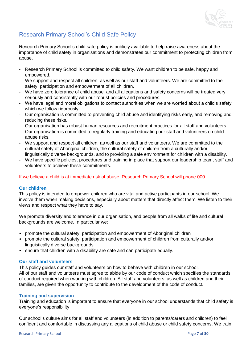

### Research Primary School's Child Safe Policy

Research Primary School's child safe policy is publicly available to help raise awareness about the importance of child safety in organisations and demonstrates our commitment to protecting children from abuse.

- Research Primary School is committed to child safety. We want children to be safe, happy and empowered.
- We support and respect all children, as well as our staff and volunteers. We are committed to the safety, participation and empowerment of all children.
- We have zero tolerance of child abuse, and all allegations and safety concerns will be treated very seriously and consistently with our robust policies and procedures.
- We have legal and moral obligations to contact authorities when we are worried about a child's safety, which we follow rigorously.
- Our organisation is committed to preventing child abuse and identifying risks early, and removing and reducing these risks.
- Our organisation has robust human resources and recruitment practices for all staff and volunteers.
- Our organisation is committed to regularly training and educating our staff and volunteers on child abuse risks.
- We support and respect all children, as well as our staff and volunteers. We are committed to the cultural safety of Aboriginal children, the cultural safety of children from a culturally and/or linguistically diverse backgrounds, and to providing a safe environment for children with a disability.
- We have specific policies, procedures and training in place that support our leadership team, staff and volunteers to achieve these commitments.

#### If we believe a child is at immediate risk of abuse, Research Primary School will phone 000.

#### **Our children**

This policy is intended to empower children who are vital and active participants in our school. We involve them when making decisions, especially about matters that directly affect them. We listen to their views and respect what they have to say.

We promote diversity and tolerance in our organisation, and people from all walks of life and cultural backgrounds are welcome. In particular we:

- promote the cultural safety, participation and empowerment of Aboriginal children
- promote the cultural safety, participation and empowerment of children from culturally and/or linguistically diverse backgrounds
- ensure that children with a disability are safe and can participate equally.

#### **Our staff and volunteers**

This policy guides our staff and volunteers on how to behave with children in our school. All of our staff and volunteers must agree to abide by our code of conduct which specifies the standards of conduct required when working with children. All staff and volunteers, as well as children and their families, are given the opportunity to contribute to the development of the code of conduct.

#### **Training and supervision**

Training and education is important to ensure that everyone in our school understands that child safety is everyone's responsibility.

Our school's culture aims for all staff and volunteers (in addition to parents/carers and children) to feel confident and comfortable in discussing any allegations of child abuse or child safety concerns. We train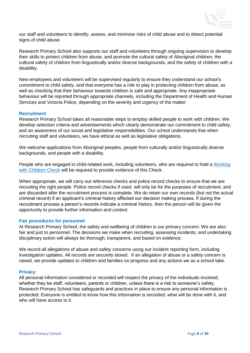

our staff and volunteers to identify, assess, and minimise risks of child abuse and to detect potential signs of child abuse.

Research Primary School also supports our staff and volunteers through ongoing supervision to develop their skills to protect children from abuse, and promote the cultural safety of Aboriginal children, the cultural safety of children from linguistically and/or diverse backgrounds, and the safety of children with a disability.

New employees and volunteers will be supervised regularly to ensure they understand our school's commitment to child safety, and that everyone has a role to play in protecting children from abuse, as well as checking that their behaviour towards children is safe and appropriate. Any inappropriate behaviour will be reported through appropriate channels, including the Department of Health and Human Services and Victoria Police, depending on the severity and urgency of the matter.

#### **Recruitment**

Research Primary School takes all reasonable steps to employ skilled people to work with children. We develop selection criteria and advertisements which clearly demonstrate our commitment to child safety, and an awareness of our social and legislative responsibilities. Our school understands that when recruiting staff and volunteers, we have ethical as well as legislative obligations.

We welcome applications from Aboriginal peoples, people from culturally and/or linguistically diverse backgrounds, and people with a disability.

People who are engaged in child-related work, including volunteers, who are required to hold a [Working](http://www.workingwithchildren.vic.gov.au/)  [with Children Check](http://www.workingwithchildren.vic.gov.au/) will be required to provide evidence of this Check.

When appropriate, we will carry out reference checks and police record checks to ensure that we are recruiting the right people. Police record checks if used, will only be for the purposes of recruitment, and are discarded after the recruitment process is complete. We do retain our own records (but not the actual criminal record) if an applicant's criminal history affected our decision making process. If during the recruitment process a person's records indicate a criminal history, then the person will be given the opportunity to provide further information and context.

#### **Fair procedures for personnel**

At Research Primary School, the safety and wellbeing of children is our primary concern. We are also fair and just to personnel. The decisions we make when recruiting, assessing incidents, and undertaking disciplinary action will always be thorough, transparent, and based on evidence.

We record all allegations of abuse and safety concerns using our incident reporting form, including investigation updates. All records are securely stored. If an allegation of abuse or a safety concern is raised, we provide updates to children and families on progress and any actions we as a school take.

#### **Privacy**

All personal information considered or recorded will respect the privacy of the individuals involved, whether they be staff, volunteers, parents or children, unless there is a risk to someone's safety. Research Primary School has safeguards and practices in place to ensure any personal information is protected. Everyone is entitled to know how this information is recorded, what will be done with it, and who will have access to it.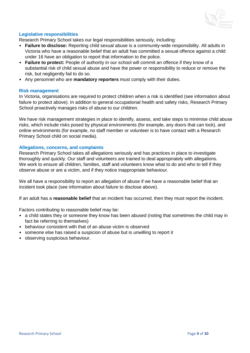

#### **Legislative responsibilities**

Research Primary School takes our legal responsibilities seriously, including:

- **Failure to disclose:** Reporting child sexual abuse is a community-wide responsibility. All adults in Victoria who have a reasonable belief that an adult has committed a sexual offence against a child under 16 have an obligation to report that information to the police.
- **Failure to protect:** People of authority in our school will commit an offence if they know of a substantial risk of child sexual abuse and have the power or responsibility to reduce or remove the risk, but negligently fail to do so.
- Any personnel who are **mandatory reporters** must comply with their duties.

#### **Risk management**

In Victoria, organisations are required to protect children when a risk is identified (see information about failure to protect above). In addition to general occupational health and safety risks, Research Primary School proactively manages risks of abuse to our children.

We have risk management strategies in place to identify, assess, and take steps to minimise child abuse risks, which include risks posed by physical environments (for example, any doors that can lock), and online environments (for example, no staff member or volunteer is to have contact with a Research Primary School child on social media).

#### **Allegations, concerns, and complaints**

Research Primary School takes all allegations seriously and has practices in place to investigate thoroughly and quickly. Our staff and volunteers are trained to deal appropriately with allegations. We work to ensure all children, families, staff and volunteers know what to do and who to tell if they observe abuse or are a victim, and if they notice inappropriate behaviour.

We all have a responsibility to report an allegation of abuse if we have a reasonable belief that an incident took place (see information about failure to disclose above).

If an adult has a **reasonable belief** that an incident has occurred, then they must report the incident.

Factors contributing to reasonable belief may be:

- a child states they or someone they know has been abused (noting that sometimes the child may in fact be referring to themselves)
- behaviour consistent with that of an abuse victim is observed
- someone else has raised a suspicion of abuse but is unwilling to report it
- observing suspicious behaviour.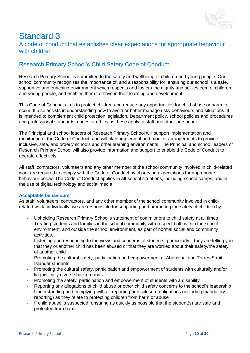

## Standard 3 A code of conduct that establishes clear expectations for appropriate behaviour with children

### Research Primary School's Child Safety Code of Conduct

Research Primary School is committed to the safety and wellbeing of children and young people. Our school community recognises the importance of, and a responsibility for, ensuring our school is a safe, supportive and enriching environment which respects and fosters the dignity and self-esteem of children and young people, and enables them to thrive in their learning and development.

This Code of Conduct aims to protect children and reduce any opportunities for child abuse or harm to occur. It also assists in understanding how to avoid or better manage risky behaviours and situations. It is intended to complement child protection legislation, Department policy, school policies and procedures and professional standards, codes or ethics as these apply to staff and other personnel.

The Principal and school leaders of Research Primary School will support implementation and monitoring of the Code of Conduct, and will plan, implement and monitor arrangements to provide inclusive, safe, and orderly schools and other learning environments. The Principal and school leaders of Research Primary School will also provide information and support to enable the Code of Conduct to operate effectively.

All staff, contractors, volunteers and any other member of the school community involved in child-related work are required to comply with the Code of Conduct by observing expectations for appropriate behaviour below. The Code of Conduct applies in **all** school situations, including school camps, and in the use of digital technology and social media.

#### **Acceptable behaviours**

As staff, volunteers, contractors, and any other member of the school community involved in childrelated work, individually, we are responsible for supporting and promoting the safety of children by:

- Upholding Research Primary School's statement of commitment to child safety at all times
- Treating students and families in the school community with respect both within the school environment, and outside the school environment, as part of normal social and community activities.
- Listening and responding to the views and concerns of students, particularly if they are telling you that they or another child has been abused or that they are worried about their safety/the safety of another child
- Promoting the cultural safety, participation and empowerment of Aboriginal and Torres Strait Islander students
- Promoting the cultural safety, participation and empowerment of students with culturally and/or linguistically diverse backgrounds
- Promoting the safety, participation and empowerment of students with a disability
- Reporting any allegations of child abuse or other child safety concerns to the school's leadership
- Understanding and complying with all reporting or disclosure obligations (including mandatory reporting) as they relate to protecting children from harm or abuse
- If child abuse is suspected, ensuring as quickly as possible that the student(s) are safe and protected from harm.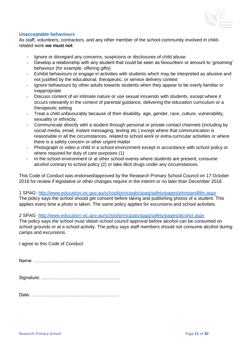

#### **Unacceptable behaviours**

As staff, volunteers, contractors, and any other member of the school community involved in childrelated work **we must not**:

- Ignore or disregard any concerns, suspicions or disclosures of child abuse
- Develop a relationship with any student that could be seen as favouritism or amount to 'grooming' behaviour (for example, offering gifts)
- Exhibit behaviours or engage in activities with students which may be interpreted as abusive and not justified by the educational, therapeutic, or service delivery context
- Ignore behaviours by other adults towards students when they appear to be overly familiar or inappropriate
- Discuss content of an intimate nature or use sexual innuendo with students, except where it occurs relevantly in the context of parental guidance, delivering the education curriculum or a therapeutic setting
- Treat a child unfavourably because of their disability, age, gender, race, culture, vulnerability, sexuality or ethnicity.
- Communicate directly with a student through personal or private contact channels (including by social media, email, instant messaging, texting etc.) except where that communication is reasonable in all the circumstances, related to school work or extra-curricular activities or where there is a safety concern or other urgent matter
- Photograph or video a child in a school environment except in accordance with school policy or where required for duty of care purposes (1)
- In the school environment or at other school events where students are present, consume alcohol contrary to school policy (2) or take illicit drugs under any circumstances.

This Code of Conduct was endorsed/approved by the Research Primary School Council on 17 October 2016 for review if legislative or other changes require in the interim or no later than December 2018.

1 SPAG:<http://www.education.vic.gov.au/school/principals/spag/safety/pages/photoandfilm.aspx> The policy says the school should get consent before taking and publishing photos of a student. This applies every time a photo is taken. The same policy applies for excursions and school activities.

2 SPAG:<http://www.education.vic.gov.au/school/principals/spag/safety/pages/alcohol.aspx>

The policy says the school must obtain school council approval before alcohol can be consumed on school grounds or at a school activity. The policy says staff members should not consume alcohol during camps and excursions.

I agree to this Code of Conduct:

Name: ………………………………………………..

Signature: ……………………………………………

Date: …………………………………………………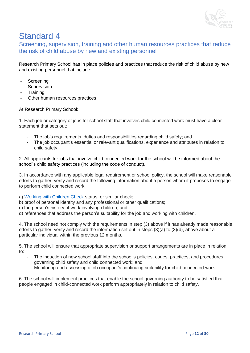

# Standard 4

Screening, supervision, training and other human resources practices that reduce the risk of child abuse by new and existing personnel

Research Primary School has in place policies and practices that reduce the risk of child abuse by new and existing personnel that include:

- **Screening**
- **Supervision**
- **Training**
- Other human resources practices

At Research Primary School:

1. Each job or category of jobs for school staff that involves child connected work must have a clear statement that sets out:

- The job's requirements, duties and responsibilities regarding child safety; and
- The job occupant's essential or relevant qualifications, experience and attributes in relation to child safety.

2. All applicants for jobs that involve child connected work for the school will be informed about the school's child safety practices (including the code of conduct).

3. In accordance with any applicable legal requirement or school policy, the school will make reasonable efforts to gather, verify and record the following information about a person whom it proposes to engage to perform child connected work:

- a) [Working with Children Check](http://www.workingwithchildren.vic.gov.au/) status, or similar check;
- b) proof of personal identity and any professional or other qualifications;
- c) the person's history of work involving children; and

d) references that address the person's suitability for the job and working with children.

4. The school need not comply with the requirements in step (3) above if it has already made reasonable efforts to gather, verify and record the information set out in steps (3)(a) to (3)(d), above about a particular individual within the previous 12 months.

5. The school will ensure that appropriate supervision or support arrangements are in place in relation to:

- The induction of new school staff into the school's policies, codes, practices, and procedures governing child safety and child connected work; and
- Monitoring and assessing a job occupant's continuing suitability for child connected work.

6. The school will implement practices that enable the school governing authority to be satisfied that people engaged in child-connected work perform appropriately in relation to child safety.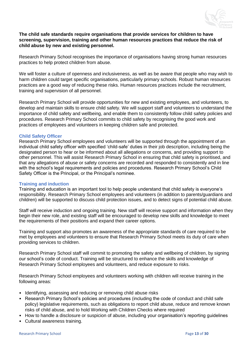

#### **The child safe standards require organisations that provide services for children to have screening, supervision, training and other human resources practices that reduce the risk of child abuse by new and existing personnel.**

Research Primary School recognises the importance of organisations having strong human resources practices to help protect children from abuse.

We will foster a culture of openness and inclusiveness, as well as be aware that people who may wish to harm children could target specific organisations, particularly primary schools. Robust human resources practices are a good way of reducing these risks. Human resources practices include the recruitment, training and supervision of all personnel.

Research Primary School will provide opportunities for new and existing employees, and volunteers, to develop and maintain skills to ensure child safety. We will support staff and volunteers to understand the importance of child safety and wellbeing, and enable them to consistently follow child safety policies and procedures. Research Primary School commits to child safety by recognising the good work and practices of employees and volunteers in keeping children safe and protected.

#### **Child Safety Officer**

Research Primary School employees and volunteers will be supported through the appointment of an individual child safety officer with specified 'child-safe' duties in their job description, including being the designated person to hear or be informed about all allegations or concerns, and providing support to other personnel. This will assist Research Primary School in ensuring that child safety is prioritised, and that any allegations of abuse or safety concerns are recorded and responded to consistently and in line with the school's legal requirements and policies and procedures. Research Primary School's Child Safety Officer is the Principal, or the Principal's nominee.

#### **Training and induction**

Training and education is an important tool to help people understand that child safety is everyone's responsibility. Research Primary School employees and volunteers (in addition to parents/guardians and children) will be supported to discuss child protection issues, and to detect signs of potential child abuse.

Staff will receive induction and ongoing training. New staff will receive support and information when they begin their new role, and existing staff will be encouraged to develop new skills and knowledge to meet the requirements of their positions and expand their career options.

Training and support also promotes an awareness of the appropriate standards of care required to be met by employees and volunteers to ensure that Research Primary School meets its duty of care when providing services to children.

Research Primary School staff will commit to promoting the safety and wellbeing of children, by signing our school's code of conduct. Training will be structured to enhance the skills and knowledge of Research Primary School employees and volunteers, and reduce exposure to risks.

Research Primary School employees and volunteers working with children will receive training in the following areas:

- Identifying, assessing and reducing or removing child abuse risks
- Research Primary School's policies and procedures (including the code of conduct and child safe policy) legislative requirements, such as obligations to report child abuse, reduce and remove known risks of child abuse, and to hold Working with Children Checks where required
- How to handle a disclosure or suspicion of abuse, including your organisation's reporting guidelines
- Cultural awareness training.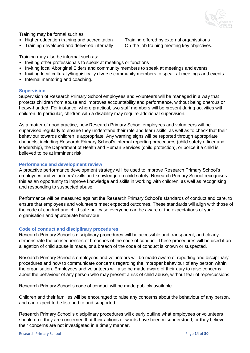

Training may be formal such as:

- Higher education training and accreditation Training offered by external organisations
- Training developed and delivered internally On-the-job training meeting key objectives.

Training may also be informal such as:

- Inviting other professionals to speak at meetings or functions
- Inviting local Aboriginal Elders and community members to speak at meetings and events
- Inviting local culturally/linguistically diverse community members to speak at meetings and events
- Internal mentoring and coaching.

#### **Supervision**

Supervision of Research Primary School employees and volunteers will be managed in a way that protects children from abuse and improves accountability and performance, without being onerous or heavy-handed. For instance, where practical, two staff members will be present during activities with children. In particular, children with a disability may require additional supervision.

As a matter of good practice, new Research Primary School employees and volunteers will be supervised regularly to ensure they understand their role and learn skills, as well as to check that their behaviour towards children is appropriate. Any warning signs will be reported through appropriate channels, including Research Primary School's internal reporting procedures (child safety officer and leadership), the Department of Health and Human Services (child protection), or police if a child is believed to be at imminent risk.

#### **Performance and development review**

A proactive performance development strategy will be used to improve Research Primary School's employees and volunteers' skills and knowledge on child safety. Research Primary School recognises this as an opportunity to improve knowledge and skills in working with children, as well as recognising and responding to suspected abuse.

Performance will be measured against the Research Primary School's standards of conduct and care, to ensure that employees and volunteers meet expected outcomes. These standards will align with those of the code of conduct and child safe policy so everyone can be aware of the expectations of your organisation and appropriate behaviour.

#### **Code of conduct and disciplinary procedures**

Research Primary School's disciplinary procedures will be accessible and transparent, and clearly demonstrate the consequences of breaches of the code of conduct. These procedures will be used if an allegation of child abuse is made, or a breach of the code of conduct is known or suspected.

Research Primary School's employees and volunteers will be made aware of reporting and disciplinary procedures and how to communicate concerns regarding the improper behaviour of any person within the organisation. Employees and volunteers will also be made aware of their duty to raise concerns about the behaviour of any person who may present a risk of child abuse, without fear of repercussions.

Research Primary School's code of conduct will be made publicly available.

Children and their families will be encouraged to raise any concerns about the behaviour of any person, and can expect to be listened to and supported.

Research Primary School's disciplinary procedures will clearly outline what employees or volunteers should do if they are concerned that their actions or words have been misunderstood, or they believe their concerns are not investigated in a timely manner.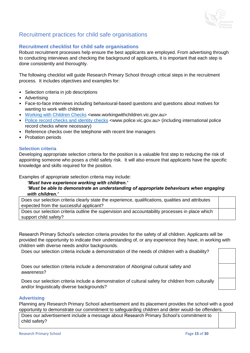

### Recruitment practices for child safe organisations

#### **Recruitment checklist for child safe organisations**

Robust recruitment processes help ensure the best applicants are employed. From advertising through to conducting interviews and checking the background of applicants, it is important that each step is done consistently and thoroughly.

The following checklist will guide Research Primary School through critical steps in the recruitment process. It includes objectives and examples for:

- Selection criteria in job descriptions
- Advertising
- Face-to-face interviews including behavioural-based questions and questions about motives for wanting to work with children
- [Working with Children Checks](http://www.workingwithchildren.vic.gov.au/) <www.workingwithchildren.vic.gov.au>
- Police record checks and identity checks <www.police.vic.gov.au> (including international police record checks where necessary)
- Reference checks over the telephone with recent line managers
- Probation periods

#### **Selection criteria**

Developing appropriate selection criteria for the position is a valuable first step to reducing the risk of appointing someone who poses a child safety risk. It will also ensure that applicants have the specific knowledge and skills required for the position.

Examples of appropriate selection criteria may include:

#### *'Must have experience working with children.'*

#### *'Must be able to demonstrate an understanding of appropriate behaviours when engaging with children.'*

| Does our selection criteria clearly state the experience, qualifications, qualities and attributes |  |  |
|----------------------------------------------------------------------------------------------------|--|--|
| expected from the successful applicant?                                                            |  |  |
| Does our selection criteria outline the supervision and accountability processes in place which    |  |  |
| support child safety?                                                                              |  |  |

Research Primary School's selection criteria provides for the safety of all children. Applicants will be provided the opportunity to indicate their understanding of, or any experience they have, in working with children with diverse needs and/or backgrounds.

Does our selection criteria include a demonstration of the needs of children with a disability?

Does our selection criteria include a demonstration of Aboriginal cultural safety and awareness?

Does our selection criteria include a demonstration of cultural safety for children from culturally and/or linguistically diverse backgrounds?

#### **Advertising**

Planning any Research Primary School advertisement and its placement provides the school with a good opportunity to demonstrate our commitment to safeguarding children and deter would–be offenders.

Does our advertisement include a message about Research Primary School's commitment to child safety?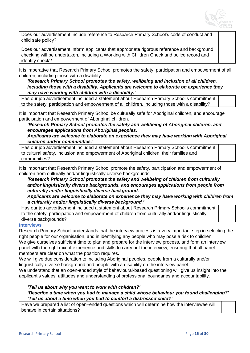

Does our advertisement include reference to Research Primary School's code of conduct and child safe policy?

Does our advertisement inform applicants that appropriate rigorous reference and background checking will be undertaken, including a Working with Children Check and police record and identity check?

It is imperative that Research Primary School promotes the safety, participation and empowerment of all children, including those with a disability.

#### *'Research Primary School promotes the safety, wellbeing and inclusion of all children, including those with a disability. Applicants are welcome to elaborate on experience they may have working with children with a disability.'*

Has our job advertisement included a statement about Research Primary School's commitment to the safety, participation and empowerment of all children, including those with a disability?

It is important that Research Primary School be culturally safe for Aboriginal children, and encourage participation and empowerment of Aboriginal children.

*'Research Primary School promotes the safety and wellbeing of Aboriginal children, and encourages applications from Aboriginal peoples.* 

*Applicants are welcome to elaborate on experience they may have working with Aboriginal children and/or communities.'*

| Has our job advertisement included a statement about Research Primary School's commitment |  |  |
|-------------------------------------------------------------------------------------------|--|--|
| to cultural safety, inclusion and empowerment of Aboriginal children, their families and  |  |  |
| communities?                                                                              |  |  |

It is important that Research Primary School promote the safety, participation and empowerment of children from culturally and/or linguistically diverse backgrounds.

#### *'Research Primary School promotes the safety and wellbeing of children from culturally and/or linguistically diverse backgrounds, and encourages applications from people from culturally and/or linguistically diverse background.*

#### *Applicants are welcome to elaborate on experience they may have working with children from a culturally and/or linguistically diverse background.'*

Has our job advertisement included a statement about Research Primary School's commitment to the safety, participation and empowerment of children from culturally and/or linguistically diverse backgrounds?

#### **Interviews**

Research Primary School understands that the interview process is a very important step in selecting the right people for our organisation, and in identifying any people who may pose a risk to children. We give ourselves sufficient time to plan and prepare for the interview process, and form an interview panel with the right mix of experience and skills to carry out the interview, ensuring that all panel members are clear on what the position requires.

We will give due consideration to including Aboriginal peoples, people from a culturally and/or linguistically diverse background and people with a disability on the interview panel.

We understand that an open-ended style of behavioural-based questioning will give us insight into the applicant's values, attitudes and understanding of professional boundaries and accountability.

#### *'Tell us about why you want to work with children?'*

#### *'Describe a time when you had to manage a child whose behaviour you found challenging?' 'Tell us about a time when you had to comfort a distressed child?'*

Have we prepared a list of open–ended questions which will determine how the interviewee will behave in certain situations?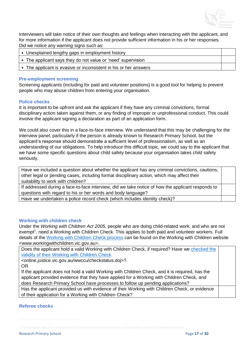

Interviewers will take notice of their own thoughts and feelings when interacting with the applicant, and for more information if the applicant does not provide sufficient information in his or her responses. Did we notice any warning signs such as:

- Unexplained lengthy gaps in employment history
- The applicant says they do not value or 'need' supervision
- The applicant is evasive or inconsistent in his or her answers

#### **Pre-employment screening**

Screening applicants (including for paid and volunteer positions) is a good tool for helping to prevent people who may abuse children from entering your organisation.

#### **Police checks**

It is important to be upfront and ask the applicant if they have any criminal convictions, formal disciplinary action taken against them, or any finding of improper or unprofessional conduct. This could involve the applicant signing a declaration as part of an application form.

We could also cover this in a face-to-face interview. We understand that this may be challenging for the interview panel, particularly if the person is already known to Research Primary School, but the applicant's response should demonstrate a sufficient level of professionalism, as well as an understanding of our obligations. To help introduce this difficult topic, we could say to the applicant that we have some specific questions about child safety because your organisation takes child safety seriously.

Have we included a question about whether the applicant has any criminal convictions, cautions, other legal or pending cases, including formal disciplinary action, which may affect their suitability to work with children? If addressed during a face-to-face interview, did we take notice of how the applicant responds to

questions with regard to his or her words and body language?

Have we undertaken a police record check (which includes identity check)?

#### **Working with children check**

Under the *Working with Children Act 2005*, people who are doing child-related work, and who are not exempt<sup>1</sup>, need a Working with Children Check. This applies to both paid and volunteer workers. Full details of the [Working with Children Check process](http://www.workingwithchildren.vic.gov.au/) can be found on the Working with Children website <www.workingwithchildren.vic.gov.au>.

| Does the applicant hold a valid Working with Children Check, if required? Have we checked the   |  |
|-------------------------------------------------------------------------------------------------|--|
| validity of their Working with Children Check                                                   |  |
| <online.justice.vic.gov.au checkstatus.doj="" wwccu="">?.</online.justice.vic.gov.au>           |  |
| OR.                                                                                             |  |
| If the applicant does not hold a valid Working with Children Check, and it is required, has the |  |
| applicant provided evidence that they have applied for a Working with Children Check, and       |  |
| does Research Primary School have processes to follow up pending applications?                  |  |
| Has the applicant provided us with evidence of their Working with Children Check, or evidence   |  |
| of their application for a Working with Children Check?                                         |  |

#### **Referee checks**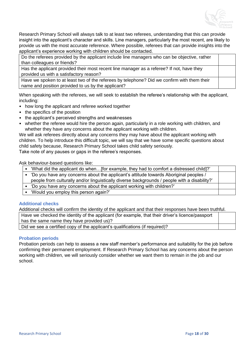

Research Primary School will always talk to at least two referees, understanding that this can provide insight into the applicant's character and skills. Line managers, particularly the most recent, are likely to provide us with the most accurate reference. Where possible, referees that can provide insights into the applicant's experience working with children should be contacted.

| Do the referees provided by the applicant include line managers who can be objective, rather |  |  |
|----------------------------------------------------------------------------------------------|--|--|
| than colleagues or friends?                                                                  |  |  |
| Has the applicant provided their most recent line manager as a referee? If not, have they    |  |  |
| provided us with a satisfactory reason?                                                      |  |  |
| Have we spoken to at least two of the referees by telephone? Did we confirm with them their  |  |  |
| name and position provided to us by the applicant?                                           |  |  |

When speaking with the referees, we will seek to establish the referee's relationship with the applicant, including:

- how long the applicant and referee worked together
- the specifics of the position
- the applicant's perceived strengths and weaknesses
- whether the referee would hire the person again, particularly in a role working with children, and whether they have any concerns about the applicant working with children.

We will ask referees directly about any concerns they may have about the applicant working with children. To help introduce this difficult topic, we will say that we have some specific questions about child safety because, Research Primary School takes child safety seriously. Take note of any pauses or gaps in the referee's responses.

Ask behaviour-based questions like:

| "What did the applicant do when [for example, they had to comfort a distressed child]?"       |  |
|-----------------------------------------------------------------------------------------------|--|
| 'Do you have any concerns about the applicant's attitude towards Aboriginal peoples /         |  |
| people from culturally and/or linguistically diverse backgrounds / people with a disability?' |  |
| "Do you have any concerns about the applicant working with children?"                         |  |
| 'Would you employ this person again?'                                                         |  |

#### **Additional checks**

Additional checks will confirm the identity of the applicant and that their responses have been truthful.

| Have we checked the identity of the applicant (for example, that their driver's licence/passport |  |
|--------------------------------------------------------------------------------------------------|--|
| has the same name they have provided us)?                                                        |  |
| Did we see a certified copy of the applicant's qualifications (if required)?                     |  |

#### **Probation periods**

Probation periods can help to assess a new staff member's performance and suitability for the job before confirming their permanent employment. If Research Primary School has any concerns about the person working with children, we will seriously consider whether we want them to remain in the job and our school.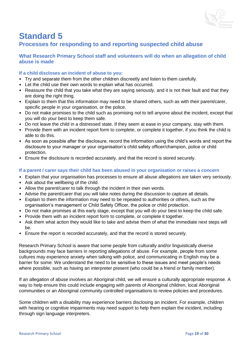

# **Standard 5**

### **Processes for responding to and reporting suspected child abuse**

#### **What Research Primary School staff and volunteers will do when an allegation of child abuse is made**

#### **If a child discloses an incident of abuse to you:**

- Try and separate them from the other children discreetly and listen to them carefully.
- Let the child use their own words to explain what has occurred.
- Reassure the child that you take what they are saying seriously, and it is not their fault and that they are doing the right thing.
- Explain to them that this information may need to be shared others, such as with their parent/carer, specific people in your organisation, or the police.
- Do not make promises to the child such as promising not to tell anyone about the incident, except that you will do your best to keep them safe.
- Do not leave the child in a distressed state. If they seem at ease in your company, stay with them.
- Provide them with an incident report form to complete, or complete it together, if you think the child is able to do this.
- As soon as possible after the disclosure, record the information using the child's words and report the disclosure to your manager or your organisation's child safety officer/champion, police or child protection.
- Ensure the disclosure is recorded accurately, and that the record is stored securely.

#### **If a parent / carer says their child has been abused in your organisation or raises a concern**

- Explain that your organisation has processes to ensure all abuse allegations are taken very seriously.
- Ask about the wellbeing of the child.
- Allow the parent/carer to talk through the incident in their own words.
- Advise the parent/carer that you will take notes during the discussion to capture all details.
- Explain to them the information may need to be repeated to authorities or others, such as the organisation's management or Child Safety Officer, the police or child protection.
- Do not make promises at this early stage, except that you will do your best to keep the child safe.
- Provide them with an incident report form to complete, or complete it together.
- Ask them what action they would like to take and advise them of what the immediate next steps will be.
- Ensure the report is recorded accurately, and that the record is stored securely.

Research Primary School is aware that some people from culturally and/or linguistically diverse backgrounds may face barriers in reporting allegations of abuse. For example, people from some cultures may experience anxiety when talking with police, and communicating in English may be a barrier for some. We understand the need to be sensitive to these issues and meet people's needs where possible, such as having an interpreter present (who could be a friend or family member).

If an allegation of abuse involves an Aboriginal child, we will ensure a culturally appropriate response. A way to help ensure this could include engaging with parents of Aboriginal children, local Aboriginal communities or an Aboriginal community controlled organisations to review policies and procedures.

Some children with a disability may experience barriers disclosing an incident. For example, children with hearing or cognitive impairments may need support to help them explain the incident, including through sign language interpreters.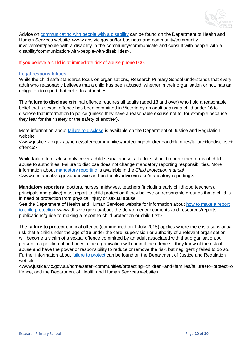

Advice on [communicating with people with a disability](http://www.dhs.vic.gov.au/for-business-and-community/community-involvement/people-with-a-disability-in-the-community/communicate-and-consult-with-people-with-a-disability/communication-with-people-with-disabilities) can be found on the Department of Health and Human Services website <www.dhs.vic.gov.au/for-business-and-community/communityinvolvement/people-with-a-disability-in-the-community/communicate-and-consult-with-people-with-adisability/communication-with-people-with-disabilities>.

If you believe a child is at immediate risk of abuse phone 000.

#### **Legal responsibilities**

While the child safe standards focus on organisations, Research Primary School understands that every adult who reasonably believes that a child has been abused, whether in their organisation or not, has an obligation to report that belief to authorities.

The **failure to disclose** criminal offence requires all adults (aged 18 and over) who hold a reasonable belief that a sexual offence has been committed in Victoria by an adult against a child under 16 to disclose that information to police (unless they have a reasonable excuse not to, for example because they fear for their safety or the safety of another).

More information about [failure to disclose](http://www.justice.vic.gov.au/home/safer+communities/protecting+children+and+families/failure+to+disclose+offence) is available on the Department of Justice and Regulation website

<www.justice.vic.gov.au/home/safer+communities/protecting+children+and+families/failure+to+disclose+ offence>

While failure to disclose only covers child sexual abuse, all adults should report other forms of child abuse to authorities. Failure to disclose does not change mandatory reporting responsibilities. More information about [mandatory reporting](http://www.cpmanual.vic.gov.au/advice-and-protocols/advice/intake/mandatory-reporting%3e.) is available in the *Child protection manual* <www.cpmanual.vic.gov.au/advice-and-protocols/advice/intake/mandatory-reporting>.

**Mandatory reporters** (doctors, nurses, midwives, teachers (including early childhood teachers), principals and police) must report to child protection if they believe on reasonable grounds that a child is in need of protection from physical injury or sexual abuse.

See the Department of Health and Human Services website for information about how to make a report [to child protection](http://www.dhs.vic.gov.au/about-the-department/documents-and-resources/reports-publications/guide-to-making-a-report-to-child-protection-or-child-first) <www.dhs.vic.gov.au/about-the-department/documents-and-resources/reportspublications/guide-to-making-a-report-to-child-protection-or-child-first>.

The **failure to protect** criminal offence (commenced on 1 July 2015) applies where there is a substantial risk that a child under the age of 16 under the care, supervision or authority of a relevant organisation will become a victim of a sexual offence committed by an adult associated with that organisation. A person in a position of authority in the organisation will commit the offence if they know of the risk of abuse and have the power or responsibility to reduce or remove the risk, but negligently failed to do so. Further information about [failure to protect](http://www.justice.vic.gov.au/home/safer+communities/protecting+children+and+families/failure+to+protect+offence,%20and%20the%20Department%20of%20Health%20and%20Human%20Services%20website) can be found on the Department of Justice and Regulation website

<www.justice.vic.gov.au/home/safer+communities/protecting+children+and+families/failure+to+protect+o ffence, and the Department of Health and Human Services website>.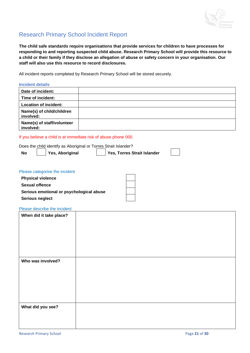

### Research Primary School Incident Report

**The child safe standards require organisations that provide services for children to have processes for responding to and reporting suspected child abuse. Research Primary School will provide this resource to a child or their family if they disclose an allegation of abuse or safety concern in your organisation. Our staff will also use this resource to record disclosures.** 

All incident reports completed by Research Primary School will be stored securely.

#### **Incident details**

| Date of incident:                       |  |
|-----------------------------------------|--|
| Time of incident:                       |  |
| Location of incident:                   |  |
| Name(s) of child/children<br>involved:  |  |
| Name(s) of staff/volunteer<br>involved: |  |

If you believe a child is at immediate risk of abuse phone 000.

#### Does the child identify as Aboriginal or Torres Strait Islander?

| <b>Nc</b> |  | Yes, Aboriginal |  | Yes, Torres Strait Islander |  |  |
|-----------|--|-----------------|--|-----------------------------|--|--|
|-----------|--|-----------------|--|-----------------------------|--|--|

#### Please categorise the incident

| <b>Physical violence</b>                 |  |
|------------------------------------------|--|
| Sexual offence                           |  |
| Serious emotional or psychological abuse |  |
| <b>Serious neglect</b>                   |  |

#### Please describe the incident

| When did it take place? |  |
|-------------------------|--|
| Who was involved?       |  |
| What did you see?       |  |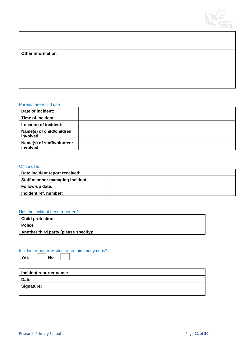

| <b>Other information</b> |  |
|--------------------------|--|
|                          |  |

#### Parent/carer/child use

| Date of incident:                       |  |
|-----------------------------------------|--|
| Time of incident:                       |  |
| <b>Location of incident:</b>            |  |
| Name(s) of child/children<br>involved:  |  |
| Name(s) of staff/volunteer<br>involved: |  |

#### Office use:

| Date incident report received:  |  |
|---------------------------------|--|
| Staff member managing incident: |  |
| Follow-up date:                 |  |
| Incident ref. number:           |  |

#### Has the incident been reported?

| <b>Child protection</b>               |  |
|---------------------------------------|--|
| <b>Police</b>                         |  |
| Another third party (please specify): |  |

#### Incident reporter wishes to remain anonymous?

Yes | | No

| Incident reporter name: |  |
|-------------------------|--|
| Date:                   |  |
| <b>Signature:</b>       |  |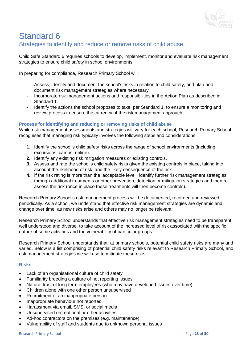

## Standard 6 Strategies to identify and reduce or remove risks of child abuse

Child Safe Standard 6 requires schools to develop, implement, monitor and evaluate risk management strategies to ensure child safety in school environments.

In preparing for compliance, Research Primary School will:

- Assess, identify and document the school's risks in relation to child safety, and plan and document risk management strategies where necessary.
- Incorporate risk management actions and responsibilities in the Action Plan as described in Standard 1.
- Identify the actions the school proposes to take, per Standard 1, to ensure a monitoring and review process to ensure the currency of the risk management approach.

#### **Process for identifying and reducing or removing risks of child abuse**

While risk management assessments and strategies will vary for each school, Research Primary School recognises that managing risk typically involves the following steps and considerations.

- **1.** Identify the school's child safety risks across the range of school environments (including excursions, camps, online).
- **2.** Identify any existing risk mitigation measures or existing controls.
- **3.** Assess and rate the school's child safety risks given the existing controls in place, taking into account the likelihood of risk, and the likely consequence of the risk.
- **4.** If the risk rating is more than the 'acceptable level', identify further risk management strategies through additional treatments or other prevention, detection or mitigation strategies and then reassess the risk (once in place these treatments will then become controls).

Research Primary School's risk management process will be documented, recorded and reviewed periodically. As a school, we understand that effective risk management strategies are dynamic and change over time, as new risks arise and others may no longer be relevant.

Research Primary School understands that effective risk management strategies need to be transparent, well understood and diverse, to take account of the increased level of risk associated with the specific nature of some activities and the vulnerability of particular groups.

Research Primary School understands that, at primary schools, potential child safety risks are many and varied. Below is a list comprising of potential child safety risks relevant to Research Primary School, and risk management strategies we will use to mitigate these risks.

#### **Risks**

- Lack of an organisational culture of child safety
- Familiarity breeding a culture of not reporting issues
- Natural trust of long term employees (who may have developed issues over time)
- Children alone with one other person unsupervised
- Recruitment of an inappropriate person
- Inappropriate behaviour not reported
- Harassment via email, SMS, or social media
- Unsupervised recreational or other activities
- Ad-hoc contractors on the premises (e.g. maintenance)
- Vulnerability of staff and students due to unknown personal issues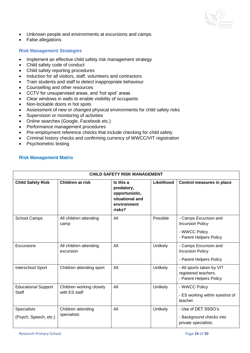

- Unknown people and environments at excursions and camps
- False allegations

#### **Risk Management Strategies**

- Implement an effective child safety risk management strategy
- Child safety code of conduct
- Child safety reporting procedures
- Induction for all visitors, staff, volunteers and contractors
- Train students and staff to detect inappropriate behaviour
- Counselling and other resources
- CCTV for unsupervised areas, and 'hot spot' areas
- Clear windows in walls to enable visibility of occupants
- Non-lockable doors in hot spots
- Assessment of new or changed physical environments for child safety risks
- Supervision or monitoring of activities
- Online searches (Google, Facebook etc.)
- Performance management procedures
- Pre-employment reference checks that include checking for child safety
- Criminal history checks and confirming currency of WWCC/VIT registration
- Psychometric testing

#### **Risk Management Matrix**

| <b>CHILD SAFETY RISK MANAGEMENT</b>         |                                           |                                                                                       |            |                                                                                              |
|---------------------------------------------|-------------------------------------------|---------------------------------------------------------------------------------------|------------|----------------------------------------------------------------------------------------------|
| <b>Child Safety Risk</b>                    | <b>Children at risk</b>                   | Is this a<br>predatory,<br>opportunistic,<br>situational and<br>environment<br>risks? | Likelihood | Control measures in place                                                                    |
| School Camps                                | All children attending<br>camp            | All                                                                                   | Possible   | - Camps Excursion and<br><b>Incursion Policy</b><br>- WWCC Policy<br>- Parent Helpers Policy |
| Excursions                                  | All children attending<br>excursion       | All                                                                                   | Unlikely   | - Camps Excursion and<br><b>Incursion Policy</b><br>- Parent Helpers Policy                  |
| Interschool Sport                           | Children attending sport                  | All                                                                                   | Unlikely   | - All sports taken by VIT<br>registered teachers.<br>- Parent Helpers Policy                 |
| <b>Educational Support</b><br>Staff         | Children working closely<br>with ES staff | All                                                                                   | Unlikely   | - WWCC Policy<br>- ES working within eyeshot of<br>teacher.                                  |
| <b>Specialists</b><br>(Psych, Speech, etc.) | Children attending<br>specialists         | All                                                                                   | Unlikely   | - Use of DET SSSO's<br>- Background checks into<br>private specialists.                      |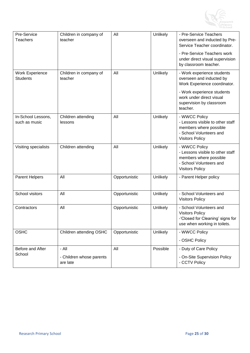

| Pre-Service<br><b>Teachers</b>            | Children in company of<br>teacher    | All           | Unlikely | - Pre-Service Teachers<br>overseen and inducted by Pre-<br>Service Teacher coordinator.                                          |
|-------------------------------------------|--------------------------------------|---------------|----------|----------------------------------------------------------------------------------------------------------------------------------|
|                                           |                                      |               |          | - Pre-Service Teachers work<br>under direct visual supervision<br>by classroom teacher.                                          |
| <b>Work Experience</b><br><b>Students</b> | Children in company of<br>teacher    | All           | Unlikely | - Work experience students<br>overseen and inducted by<br>Work Experience coordinator.                                           |
|                                           |                                      |               |          | - Work experience students<br>work under direct visual<br>supervision by classroom<br>teacher.                                   |
| In-School Lessons,<br>such as music       | Children attending<br>lessons        | All           | Unlikely | - WWCC Policy<br>- Lessons visible to other staff<br>members where possible<br>- School Volunteers and<br><b>Visitors Policy</b> |
| Visiting specialists                      | Children attending                   | All           | Unlikely | - WWCC Policy<br>- Lessons visible to other staff<br>members where possible<br>- School Volunteers and<br><b>Visitors Policy</b> |
| <b>Parent Helpers</b>                     | All                                  | Opportunistic | Unlikely | - Parent Helper policy                                                                                                           |
| School visitors                           | All                                  | Opportunistic | Unlikely | - School Volunteers and<br><b>Visitors Policy</b>                                                                                |
| Contractors                               | All                                  | Opportunistic | Unlikely | - School Volunteers and<br><b>Visitors Policy</b><br>-'Closed for Cleaning' signs for<br>use when working in toilets.            |
| <b>OSHC</b>                               | Children attending OSHC              | Opportunistic | Unlikely | - WWCC Policy                                                                                                                    |
|                                           |                                      |               |          | - OSHC Policy                                                                                                                    |
| Before and After<br>School                | - All                                | All           | Possible | - Duty of Care Policy                                                                                                            |
|                                           | - Children whose parents<br>are late |               |          | - On-Site Supervision Policy<br>- CCTV Policy                                                                                    |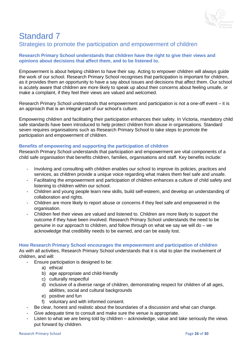

# Standard 7

### Strategies to promote the participation and empowerment of children

#### **Research Primary School understands that children have the right to give their views and opinions about decisions that affect them, and to be listened to.**

Empowerment is about helping children to have their say. Acting to empower children will always guide the work of our school. Research Primary School recognises that participation is important for children, as it provides them an opportunity to have a say about issues and decisions that affect them. Our school is acutely aware that children are more likely to speak up about their concerns about feeling unsafe, or make a complaint, if they feel their views are valued and welcomed.

Research Primary School understands that empowerment and participation is not a one-off event – it is an approach that is an integral part of our school's culture.

Empowering children and facilitating their participation enhances their safety. In Victoria, mandatory child safe standards have been introduced to help protect children from abuse in organisations. Standard seven requires organisations such as Research Primary School to take steps to promote the participation and empowerment of children.

#### **Benefits of empowering and supporting the participation of children**

Research Primary School understands that participation and empowerment are vital components of a child safe organisation that benefits children, families, organisations and staff. Key benefits include:

- Involving and consulting with children enables our school to improve its policies, practices and services, as children provide a unique voice regarding what makes them feel safe and unsafe.
- Facilitating the empowerment and participation of children enhances a culture of child safety and listening to children within our school.
- Children and young people learn new skills, build self-esteem, and develop an understanding of collaboration and rights.
- Children are more likely to report abuse or concerns if they feel safe and empowered in the organisation.
- Children feel their views are valued and listened to. Children are more likely to support the outcome if they have been involved. Research Primary School understands the need to be genuine in our approach to children, and follow through on what we say we will do – we acknowledge that credibility needs to be earned, and can be easily lost.

#### **How Research Primary School encourages the empowerment and participation of children**

As with all activities, Research Primary School understands that it is vital to plan the involvement of children, and will:

- Ensure participation is designed to be:
	- a) ethical
	- b) age appropriate and child-friendly
	- c) culturally respectful
	- d) inclusive of a diverse range of children, demonstrating respect for children of all ages, abilities, social and cultural backgrounds
	- e) positive and fun
	- f) voluntary and with informed consent.
	- Be clear, honest and realistic about the boundaries of a discussion and what can change.
- Give adequate time to consult and make sure the venue is appropriate.
- Listen to what we are being told by children acknowledge, value and take seriously the views put forward by children.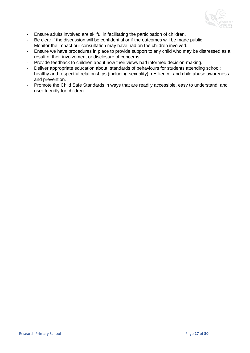

- Ensure adults involved are skilful in facilitating the participation of children.
- Be clear if the discussion will be confidential or if the outcomes will be made public.
- Monitor the impact our consultation may have had on the children involved.
- Ensure we have procedures in place to provide support to any child who may be distressed as a result of their involvement or disclosure of concerns.
- Provide feedback to children about how their views had informed decision-making.
- Deliver appropriate education about: standards of behaviours for students attending school; healthy and respectful relationships (including sexuality); resilience; and child abuse awareness and prevention.
- Promote the Child Safe Standards in ways that are readily accessible, easy to understand, and user-friendly for children.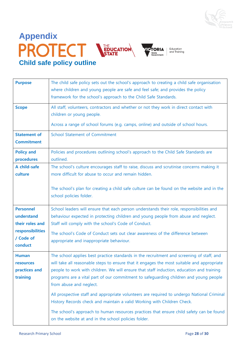# **Appendix PROTECT VEDUCATION Child safe policy outline**





Education<br>and Training

| <b>Purpose</b>                                                                                | The child safe policy sets out the school's approach to creating a child safe organisation<br>where children and young people are safe and feel safe; and provides the policy<br>framework for the school's approach to the Child Safe Standards.                                                                                                                                                                                                                                                                                                                                                                                                                                                                                     |
|-----------------------------------------------------------------------------------------------|---------------------------------------------------------------------------------------------------------------------------------------------------------------------------------------------------------------------------------------------------------------------------------------------------------------------------------------------------------------------------------------------------------------------------------------------------------------------------------------------------------------------------------------------------------------------------------------------------------------------------------------------------------------------------------------------------------------------------------------|
| <b>Scope</b>                                                                                  | All staff, volunteers, contractors and whether or not they work in direct contact with<br>children or young people.<br>Across a range of school forums (e.g. camps, online) and outside of school hours.                                                                                                                                                                                                                                                                                                                                                                                                                                                                                                                              |
| <b>Statement of</b><br><b>Commitment</b>                                                      | <b>School Statement of Commitment</b>                                                                                                                                                                                                                                                                                                                                                                                                                                                                                                                                                                                                                                                                                                 |
| <b>Policy and</b><br>procedures                                                               | Policies and procedures outlining school's approach to the Child Safe Standards are<br>outlined.                                                                                                                                                                                                                                                                                                                                                                                                                                                                                                                                                                                                                                      |
| A child-safe<br>culture                                                                       | The school's culture encourages staff to raise, discuss and scrutinise concerns making it<br>more difficult for abuse to occur and remain hidden.                                                                                                                                                                                                                                                                                                                                                                                                                                                                                                                                                                                     |
|                                                                                               | The school's plan for creating a child safe culture can be found on the website and in the<br>school policies folder.                                                                                                                                                                                                                                                                                                                                                                                                                                                                                                                                                                                                                 |
| <b>Personnel</b><br>understand<br>their roles and<br>responsibilities<br>/ Code of<br>conduct | School leaders will ensure that each person understands their role, responsibilities and<br>behaviour expected in protecting children and young people from abuse and neglect.<br>Staff will comply with the school's Code of Conduct.<br>The school's Code of Conduct sets out clear awareness of the difference between<br>appropriate and inappropriate behaviour.                                                                                                                                                                                                                                                                                                                                                                 |
| <b>Human</b><br><b>resources</b><br>practices and<br>training                                 | The school applies best practice standards in the recruitment and screening of staff, and<br>will take all reasonable steps to ensure that it engages the most suitable and appropriate<br>people to work with children. We will ensure that staff induction, education and training<br>programs are a vital part of our commitment to safeguarding children and young people<br>from abuse and neglect.<br>All prospective staff and appropriate volunteers are required to undergo National Criminal<br>History Records check and maintain a valid Working with Children Check.<br>The school's approach to human resources practices that ensure child safety can be found<br>on the website at and in the school policies folder. |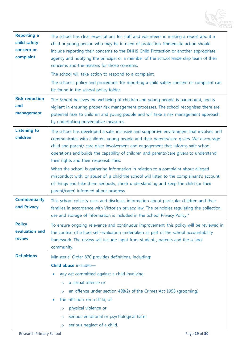

| <b>Reporting a</b><br>child safety<br>concern or<br>complaint<br><b>Risk reduction</b> | The school has clear expectations for staff and volunteers in making a report about a<br>child or young person who may be in need of protection. Immediate action should<br>include reporting their concerns to the DHHS Child Protection or another appropriate<br>agency and notifying the principal or a member of the school leadership team of their<br>concerns and the reasons for those concerns.<br>The school will take action to respond to a complaint.<br>The school's policy and procedures for reporting a child safety concern or complaint can<br>be found in the school policy folder.<br>The School believes the wellbeing of children and young people is paramount, and is                              |
|----------------------------------------------------------------------------------------|------------------------------------------------------------------------------------------------------------------------------------------------------------------------------------------------------------------------------------------------------------------------------------------------------------------------------------------------------------------------------------------------------------------------------------------------------------------------------------------------------------------------------------------------------------------------------------------------------------------------------------------------------------------------------------------------------------------------------|
| and<br>management                                                                      | vigilant in ensuring proper risk management processes. The school recognises there are<br>potential risks to children and young people and will take a risk management approach<br>by undertaking preventative measures.                                                                                                                                                                                                                                                                                                                                                                                                                                                                                                     |
| <b>Listening to</b><br>children                                                        | The school has developed a safe, inclusive and supportive environment that involves and<br>communicates with children, young people and their parents/care givers. We encourage<br>child and parent/ care giver involvement and engagement that informs safe school<br>operations and builds the capability of children and parents/care givers to understand<br>their rights and their responsibilities.<br>When the school is gathering information in relation to a complaint about alleged<br>misconduct with, or abuse of, a child the school will listen to the complainant's account<br>of things and take them seriously, check understanding and keep the child (or their<br>parent/carer) informed about progress. |
| <b>Confidentiality</b><br>and Privacy                                                  | This school collects, uses and discloses information about particular children and their<br>families in accordance with Victorian privacy law. The principles regulating the collection,<br>use and storage of information is included in the School Privacy Policy."                                                                                                                                                                                                                                                                                                                                                                                                                                                        |
| <b>Policy</b><br>evaluation and<br>review                                              | To ensure ongoing relevance and continuous improvement, this policy will be reviewed in<br>the context of school self-evaluation undertaken as part of the school accountability<br>framework. The review will include input from students, parents and the school<br>community.                                                                                                                                                                                                                                                                                                                                                                                                                                             |
| <b>Definitions</b>                                                                     | Ministerial Order 870 provides definitions, including:                                                                                                                                                                                                                                                                                                                                                                                                                                                                                                                                                                                                                                                                       |
|                                                                                        | Child abuse includes-<br>any act committed against a child involving:<br>a sexual offence or<br>$\Omega$<br>an offence under section 49B(2) of the Crimes Act 1958 (grooming)<br>$\circ$<br>the infliction, on a child, of:<br>physical violence or<br>$\circ$<br>serious emotional or psychological harm<br>$\circ$<br>serious neglect of a child.<br>$\circ$                                                                                                                                                                                                                                                                                                                                                               |
| <b>Research Primary School</b>                                                         | Page 29 of 30                                                                                                                                                                                                                                                                                                                                                                                                                                                                                                                                                                                                                                                                                                                |